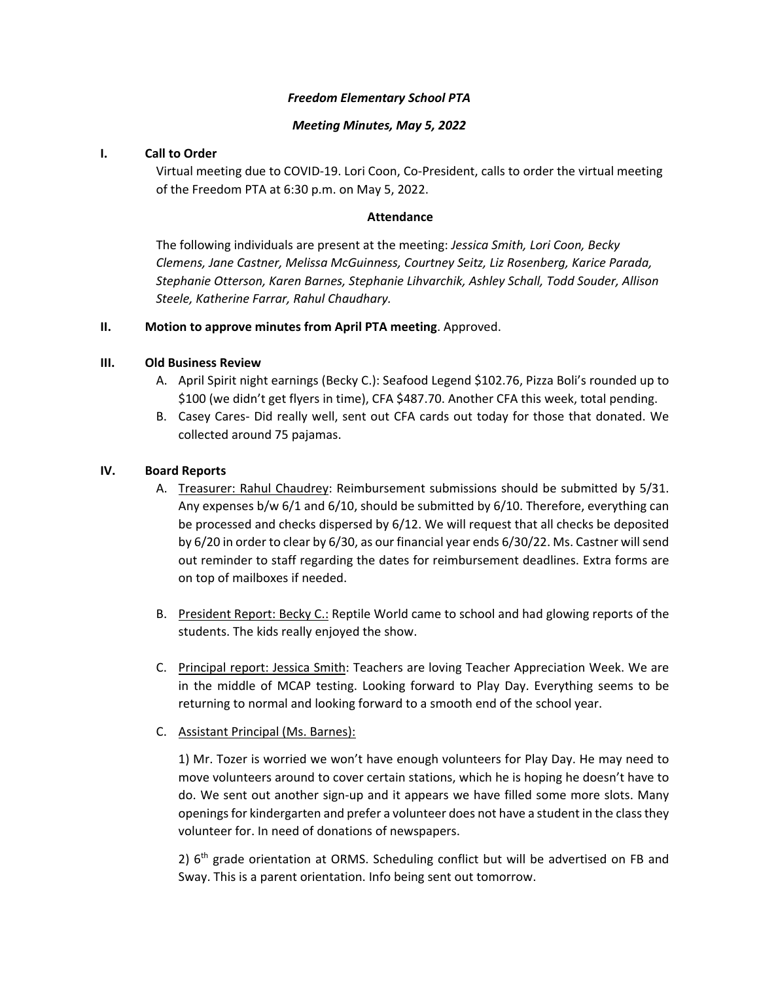#### *Freedom Elementary School PTA*

#### *Meeting Minutes, May 5, 2022*

#### **I. Call to Order**

Virtual meeting due to COVID‐19. Lori Coon, Co‐President, calls to order the virtual meeting of the Freedom PTA at 6:30 p.m. on May 5, 2022.

#### **Attendance**

The following individuals are present at the meeting: *Jessica Smith, Lori Coon, Becky Clemens, Jane Castner, Melissa McGuinness, Courtney Seitz, Liz Rosenberg, Karice Parada, Stephanie Otterson, Karen Barnes, Stephanie Lihvarchik, Ashley Schall, Todd Souder, Allison Steele, Katherine Farrar, Rahul Chaudhary.* 

## **II. Motion to approve minutes from April PTA meeting**. Approved.

## **III. Old Business Review**

- A. April Spirit night earnings (Becky C.): Seafood Legend \$102.76, Pizza Boli's rounded up to \$100 (we didn't get flyers in time), CFA \$487.70. Another CFA this week, total pending.
- B. Casey Cares‐ Did really well, sent out CFA cards out today for those that donated. We collected around 75 pajamas.

## **IV. Board Reports**

- A. Treasurer: Rahul Chaudrey: Reimbursement submissions should be submitted by 5/31. Any expenses b/w 6/1 and 6/10, should be submitted by 6/10. Therefore, everything can be processed and checks dispersed by 6/12. We will request that all checks be deposited by 6/20 in order to clear by 6/30, as our financial year ends 6/30/22. Ms. Castner willsend out reminder to staff regarding the dates for reimbursement deadlines. Extra forms are on top of mailboxes if needed.
- B. President Report: Becky C.: Reptile World came to school and had glowing reports of the students. The kids really enjoyed the show.
- C. Principal report: Jessica Smith: Teachers are loving Teacher Appreciation Week. We are in the middle of MCAP testing. Looking forward to Play Day. Everything seems to be returning to normal and looking forward to a smooth end of the school year.
- C. Assistant Principal (Ms. Barnes):

1) Mr. Tozer is worried we won't have enough volunteers for Play Day. He may need to move volunteers around to cover certain stations, which he is hoping he doesn't have to do. We sent out another sign-up and it appears we have filled some more slots. Many openingsfor kindergarten and prefer a volunteer does not have a student in the classthey volunteer for. In need of donations of newspapers.

2)  $6<sup>th</sup>$  grade orientation at ORMS. Scheduling conflict but will be advertised on FB and Sway. This is a parent orientation. Info being sent out tomorrow.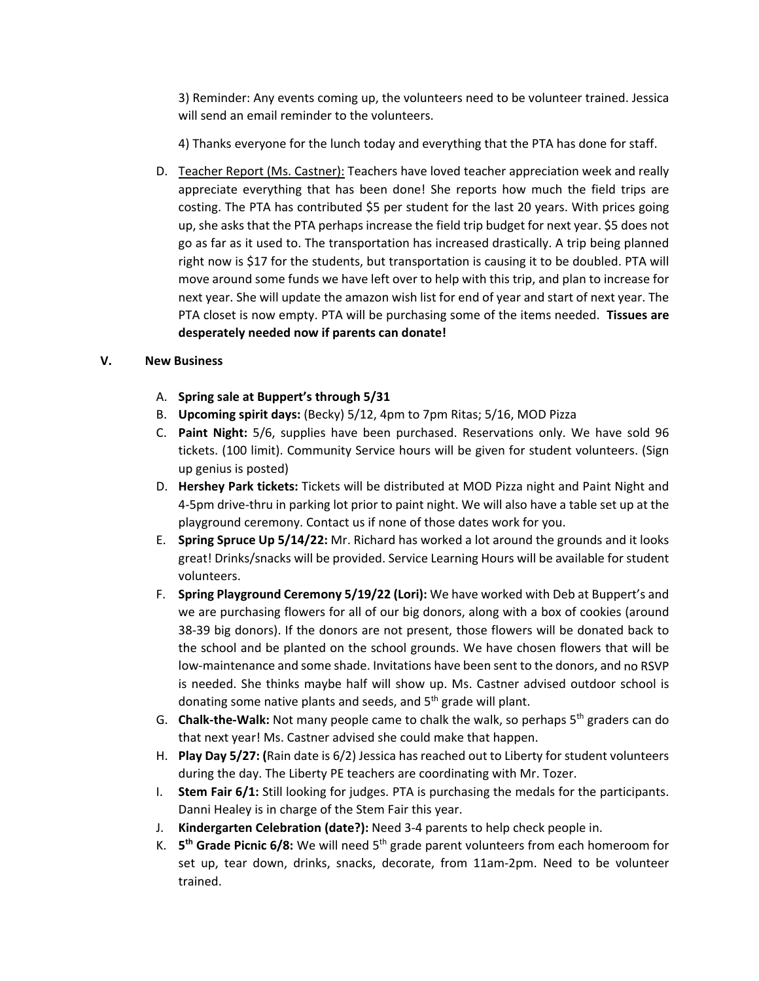3) Reminder: Any events coming up, the volunteers need to be volunteer trained. Jessica will send an email reminder to the volunteers.

4) Thanks everyone for the lunch today and everything that the PTA has done for staff.

D. Teacher Report (Ms. Castner): Teachers have loved teacher appreciation week and really appreciate everything that has been done! She reports how much the field trips are costing. The PTA has contributed \$5 per student for the last 20 years. With prices going up, she asks that the PTA perhaps increase the field trip budget for next year. \$5 does not go as far as it used to. The transportation has increased drastically. A trip being planned right now is \$17 for the students, but transportation is causing it to be doubled. PTA will move around some funds we have left over to help with this trip, and plan to increase for next year. She will update the amazon wish list for end of year and start of next year. The PTA closet is now empty. PTA will be purchasing some of the items needed. **Tissues are desperately needed now if parents can donate!**

# **V. New Business**

- A. **Spring sale at Buppert's through 5/31**
- B. **Upcoming spirit days:** (Becky) 5/12, 4pm to 7pm Ritas; 5/16, MOD Pizza
- C. **Paint Night:** 5/6, supplies have been purchased. Reservations only. We have sold 96 tickets. (100 limit). Community Service hours will be given for student volunteers. (Sign up genius is posted)
- D. **Hershey Park tickets:** Tickets will be distributed at MOD Pizza night and Paint Night and 4‐5pm drive‐thru in parking lot prior to paint night. We will also have a table set up at the playground ceremony. Contact us if none of those dates work for you.
- E. **Spring Spruce Up 5/14/22:** Mr. Richard has worked a lot around the grounds and it looks great! Drinks/snacks will be provided. Service Learning Hours will be available for student volunteers.
- F. **Spring Playground Ceremony 5/19/22 (Lori):** We have worked with Deb at Buppert's and we are purchasing flowers for all of our big donors, along with a box of cookies (around 38‐39 big donors). If the donors are not present, those flowers will be donated back to the school and be planted on the school grounds. We have chosen flowers that will be low‐maintenance and some shade. Invitations have been sent to the donors, and no RSVP is needed. She thinks maybe half will show up. Ms. Castner advised outdoor school is donating some native plants and seeds, and 5<sup>th</sup> grade will plant.
- G. **Chalk‐the‐Walk:** Not many people came to chalk the walk, so perhaps 5th graders can do that next year! Ms. Castner advised she could make that happen.
- H. **Play Day 5/27: (**Rain date is 6/2) Jessica has reached out to Liberty for student volunteers during the day. The Liberty PE teachers are coordinating with Mr. Tozer.
- I. **Stem Fair 6/1:** Still looking for judges. PTA is purchasing the medals for the participants. Danni Healey is in charge of the Stem Fair this year.
- J. **Kindergarten Celebration (date?):** Need 3‐4 parents to help check people in.
- K. **5th Grade Picnic 6/8:** We will need 5th grade parent volunteers from each homeroom for set up, tear down, drinks, snacks, decorate, from 11am‐2pm. Need to be volunteer trained.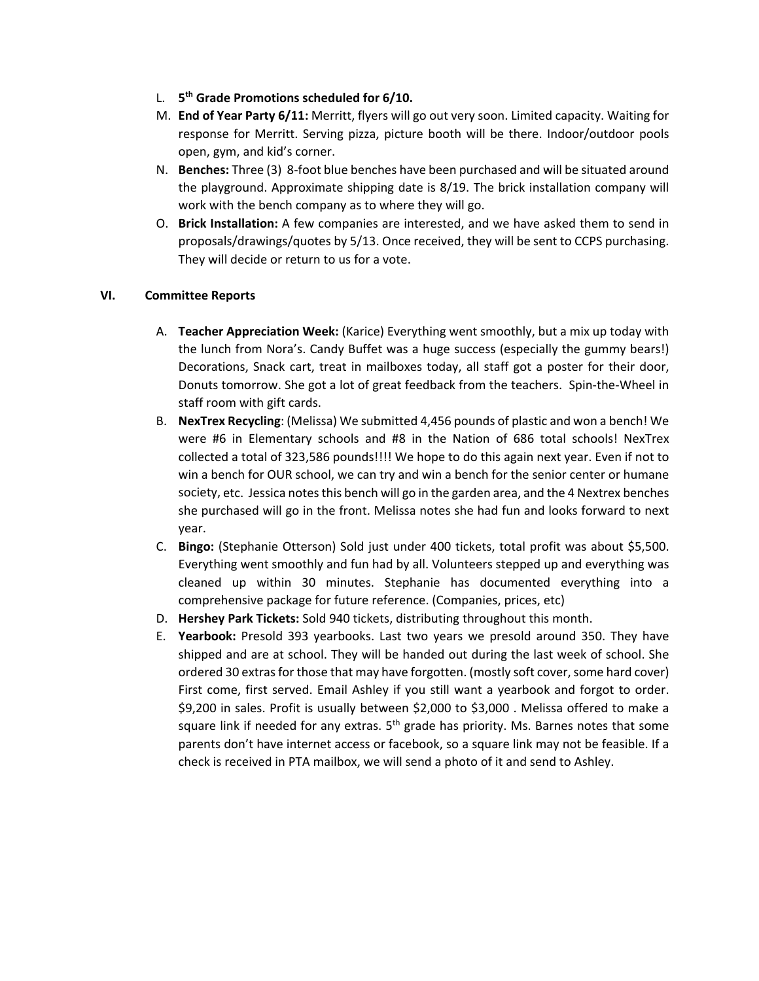- L. **5th Grade Promotions scheduled for 6/10.**
- M. **End of Year Party 6/11:** Merritt, flyers will go out very soon. Limited capacity. Waiting for response for Merritt. Serving pizza, picture booth will be there. Indoor/outdoor pools open, gym, and kid's corner.
- N. **Benches:** Three (3) 8‐foot blue benches have been purchased and will be situated around the playground. Approximate shipping date is 8/19. The brick installation company will work with the bench company as to where they will go.
- O. **Brick Installation:** A few companies are interested, and we have asked them to send in proposals/drawings/quotes by 5/13. Once received, they will be sent to CCPS purchasing. They will decide or return to us for a vote.

## **VI. Committee Reports**

- A. **Teacher Appreciation Week:** (Karice) Everything went smoothly, but a mix up today with the lunch from Nora's. Candy Buffet was a huge success (especially the gummy bears!) Decorations, Snack cart, treat in mailboxes today, all staff got a poster for their door, Donuts tomorrow. She got a lot of great feedback from the teachers. Spin-the-Wheel in staff room with gift cards.
- B. **NexTrex Recycling**: (Melissa) We submitted 4,456 pounds of plastic and won a bench! We were #6 in Elementary schools and #8 in the Nation of 686 total schools! NexTrex collected a total of 323,586 pounds!!!! We hope to do this again next year. Even if not to win a bench for OUR school, we can try and win a bench for the senior center or humane society, etc. Jessica notes this bench will go in the garden area, and the 4 Nextrex benches she purchased will go in the front. Melissa notes she had fun and looks forward to next year.
- C. **Bingo:** (Stephanie Otterson) Sold just under 400 tickets, total profit was about \$5,500. Everything went smoothly and fun had by all. Volunteers stepped up and everything was cleaned up within 30 minutes. Stephanie has documented everything into a comprehensive package for future reference. (Companies, prices, etc)
- D. **Hershey Park Tickets:** Sold 940 tickets, distributing throughout this month.
- E. **Yearbook:** Presold 393 yearbooks. Last two years we presold around 350. They have shipped and are at school. They will be handed out during the last week of school. She ordered 30 extras for those that may have forgotten. (mostly soft cover, some hard cover) First come, first served. Email Ashley if you still want a yearbook and forgot to order. \$9,200 in sales. Profit is usually between \$2,000 to \$3,000 . Melissa offered to make a square link if needed for any extras.  $5<sup>th</sup>$  grade has priority. Ms. Barnes notes that some parents don't have internet access or facebook, so a square link may not be feasible. If a check is received in PTA mailbox, we will send a photo of it and send to Ashley.